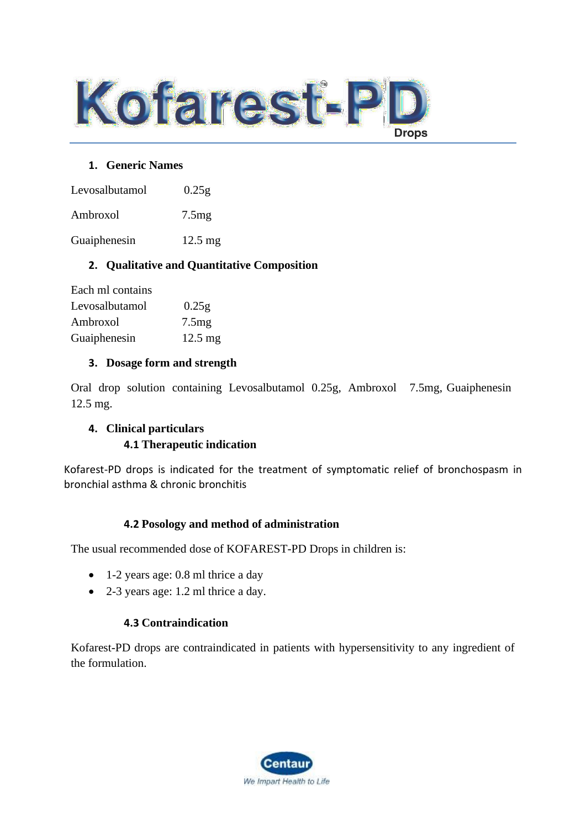

#### **1. Generic Names**

Levosalbutamol 0.25g

Ambroxol 7.5mg

Guaiphenesin 12.5 mg

## **2. Qualitative and Quantitative Composition**

| Each ml contains |                   |
|------------------|-------------------|
| Levosalbutamol   | 0.25g             |
| Ambroxol         | 7.5mg             |
| Guaiphenesin     | $12.5 \text{ mg}$ |

### **3. Dosage form and strength**

Oral drop solution containing Levosalbutamol 0.25g, Ambroxol 7.5mg, Guaiphenesin 12.5 mg.

## **4. Clinical particulars 4.1 Therapeutic indication**

Kofarest-PD drops is indicated for the treatment of symptomatic relief of bronchospasm in bronchial asthma & chronic bronchitis

### **4.2 Posology and method of administration**

The usual recommended dose of KOFAREST-PD Drops in children is:

- 1-2 years age: 0.8 ml thrice a day
- 2-3 years age: 1.2 ml thrice a day.

## **4.3 Contraindication**

Kofarest-PD drops are contraindicated in patients with hypersensitivity to any ingredient of the formulation.

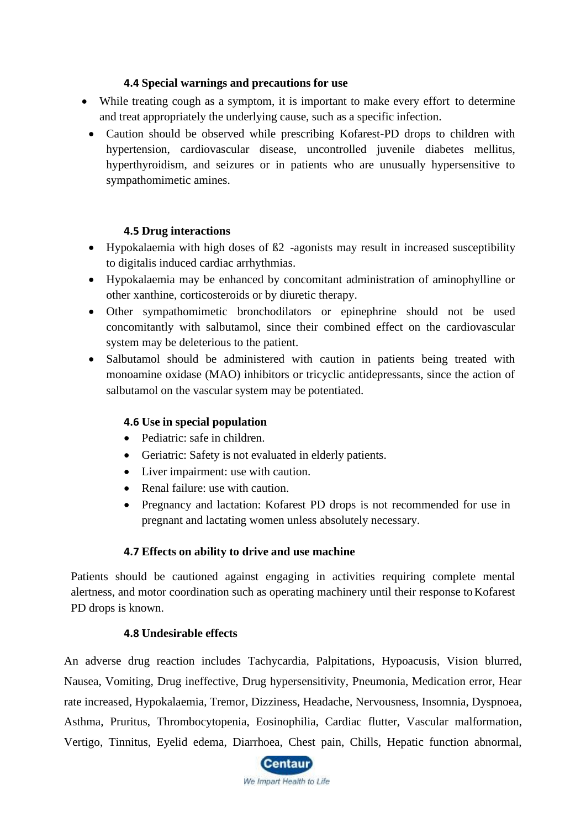## **4.4 Special warnings and precautions for use**

- While treating cough as a symptom, it is important to make every effort to determine and treat appropriately the underlying cause, such as a specific infection.
	- Caution should be observed while prescribing Kofarest-PD drops to children with hypertension, cardiovascular disease, uncontrolled juvenile diabetes mellitus, hyperthyroidism, and seizures or in patients who are unusually hypersensitive to sympathomimetic amines.

## **4.5 Drug interactions**

- Hypokalaemia with high doses of ß2 -agonists may result in increased susceptibility to digitalis induced cardiac arrhythmias.
- Hypokalaemia may be enhanced by concomitant administration of aminophylline or other xanthine, corticosteroids or by diuretic therapy.
- Other sympathomimetic bronchodilators or epinephrine should not be used concomitantly with salbutamol, since their combined effect on the cardiovascular system may be deleterious to the patient.
- Salbutamol should be administered with caution in patients being treated with monoamine oxidase (MAO) inhibitors or tricyclic antidepressants, since the action of salbutamol on the vascular system may be potentiated.

### **4.6 Use in special population**

- Pediatric: safe in children.
- Geriatric: Safety is not evaluated in elderly patients.
- Liver impairment: use with caution.
- Renal failure: use with caution.
- Pregnancy and lactation: Kofarest PD drops is not recommended for use in pregnant and lactating women unless absolutely necessary.

## **4.7 Effects on ability to drive and use machine**

Patients should be cautioned against engaging in activities requiring complete mental alertness, and motor coordination such as operating machinery until their response toKofarest PD drops is known.

### **4.8 Undesirable effects**

An adverse drug reaction includes Tachycardia, Palpitations, Hypoacusis, Vision blurred, Nausea, Vomiting, Drug ineffective, Drug hypersensitivity, Pneumonia, Medication error, Hear rate increased, Hypokalaemia, Tremor, Dizziness, Headache, Nervousness, Insomnia, Dyspnoea, Asthma, Pruritus, Thrombocytopenia, Eosinophilia, Cardiac flutter, Vascular malformation, Vertigo, Tinnitus, Eyelid edema, Diarrhoea, Chest pain, Chills, Hepatic function abnormal,

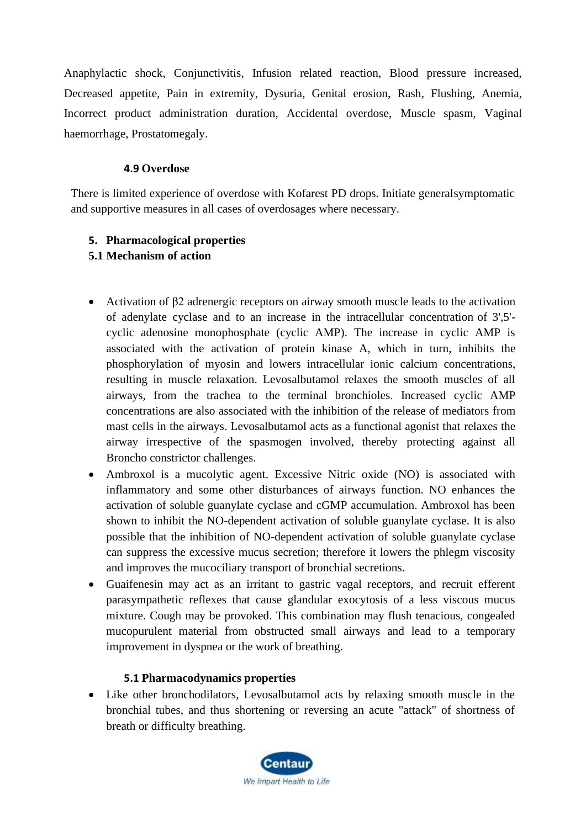Anaphylactic shock, Conjunctivitis, Infusion related reaction, Blood pressure increased, Decreased appetite, Pain in extremity, Dysuria, Genital erosion, Rash, Flushing, Anemia, Incorrect product administration duration, Accidental overdose, Muscle spasm, Vaginal haemorrhage, Prostatomegaly.

### **4.9 Overdose**

There is limited experience of overdose with Kofarest PD drops. Initiate generalsymptomatic and supportive measures in all cases of overdosages where necessary.

## **5. Pharmacological properties**

## **5.1 Mechanism of action**

- Activation of β2 adrenergic receptors on airway smooth muscle leads to the activation of adenylate cyclase and to an increase in the intracellular concentration of 3',5' cyclic adenosine monophosphate (cyclic AMP). The increase in cyclic AMP is associated with the activation of protein kinase A, which in turn, inhibits the phosphorylation of myosin and lowers intracellular ionic calcium concentrations, resulting in muscle relaxation. Levosalbutamol relaxes the smooth muscles of all airways, from the trachea to the terminal bronchioles. Increased cyclic AMP concentrations are also associated with the inhibition of the release of mediators from mast cells in the airways. Levosalbutamol acts as a functional agonist that relaxes the airway irrespective of the spasmogen involved, thereby protecting against all Broncho constrictor challenges.
- Ambroxol is a mucolytic agent. Excessive Nitric oxide (NO) is associated with inflammatory and some other disturbances of airways function. NO enhances the activation of soluble guanylate cyclase and cGMP accumulation. Ambroxol has been shown to inhibit the NO-dependent activation of soluble guanylate cyclase. It is also possible that the inhibition of NO-dependent activation of soluble guanylate cyclase can suppress the excessive mucus secretion; therefore it lowers the phlegm viscosity and improves the mucociliary transport of bronchial secretions.
- Guaifenesin may act as an irritant to gastric vagal receptors, and recruit efferent parasympathetic reflexes that cause glandular exocytosis of a less viscous mucus mixture. Cough may be provoked. This combination may flush tenacious, congealed mucopurulent material from obstructed small airways and lead to a temporary improvement in dyspnea or the work of breathing.

## **5.1 Pharmacodynamics properties**

• Like other bronchodilators, Levosalbutamol acts by relaxing smooth muscle in the bronchial tubes, and thus shortening or reversing an acute "attack" of shortness of breath or difficulty breathing.

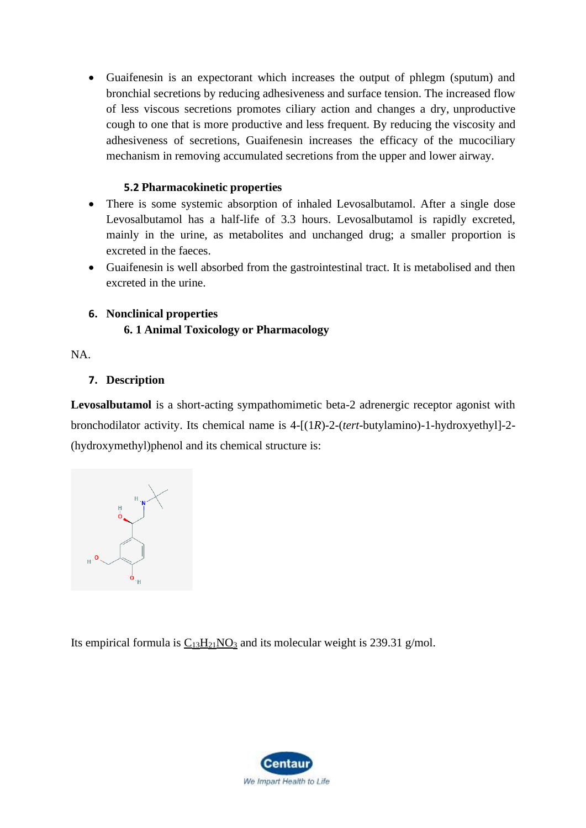• Guaifenesin is an expectorant which increases the output of phlegm (sputum) and bronchial secretions by reducing adhesiveness and surface tension. The increased flow of less viscous secretions promotes ciliary action and changes a dry, unproductive cough to one that is more productive and less frequent. By reducing the viscosity and adhesiveness of secretions, Guaifenesin increases the efficacy of the mucociliary mechanism in removing accumulated secretions from the upper and lower airway.

## **5.2 Pharmacokinetic properties**

- There is some systemic absorption of inhaled Levosalbutamol. After a single dose Levosalbutamol has a half-life of 3.3 hours. Levosalbutamol is rapidly excreted, mainly in the urine, as metabolites and unchanged drug; a smaller proportion is excreted in the faeces.
- Guaifenesin is well absorbed from the gastrointestinal tract. It is metabolised and then excreted in the urine.

## **6. Nonclinical properties**

## **6. 1 Animal Toxicology or Pharmacology**

NA.

## **7. Description**

**Levosalbutamol** is a short-acting sympathomimetic beta-2 adrenergic receptor agonist with bronchodilator activity. Its chemical name is 4-[(1*R*)-2-(*tert*-butylamino)-1-hydroxyethyl]-2- (hydroxymethyl)phenol and its chemical structure is:

Its empirical formula is  $C_{13}H_{21}NO_3$  $C_{13}H_{21}NO_3$  $C_{13}H_{21}NO_3$  and its molecular weight is 239.31 g/mol.

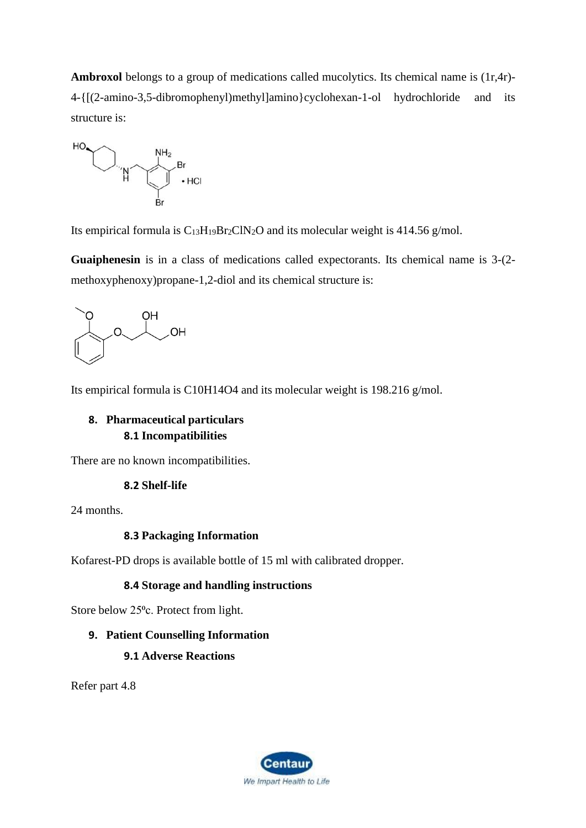**Ambroxol** belongs to a group of medications called mucolytics. Its chemical name is (1r,4r)- 4-{[(2-amino-3,5-dibromophenyl)methyl]amino}cyclohexan-1-ol hydrochloride and its structure is:



Its empirical formula is  $C_{13}H_{19}Br_2CIN_2O$  and its molecular weight is 414.56 g/mol.

**Guaiphenesin** is in a class of medications called expectorants. Its chemical name is 3-(2 methoxyphenoxy)propane-1,2-diol and its chemical structure is:



Its empirical formula is C10H14O4 and its molecular weight is 198.216 g/mol.

## **8. Pharmaceutical particulars 8.1 Incompatibilities**

There are no known incompatibilities.

#### **8.2 Shelf-life**

24 months.

#### **8.3 Packaging Information**

Kofarest-PD drops is available bottle of 15 ml with calibrated dropper.

#### **8.4 Storage and handling instructions**

Store below 25<sup>o</sup>c. Protect from light.

#### **9. Patient Counselling Information**

#### **9.1 Adverse Reactions**

Refer part 4.8